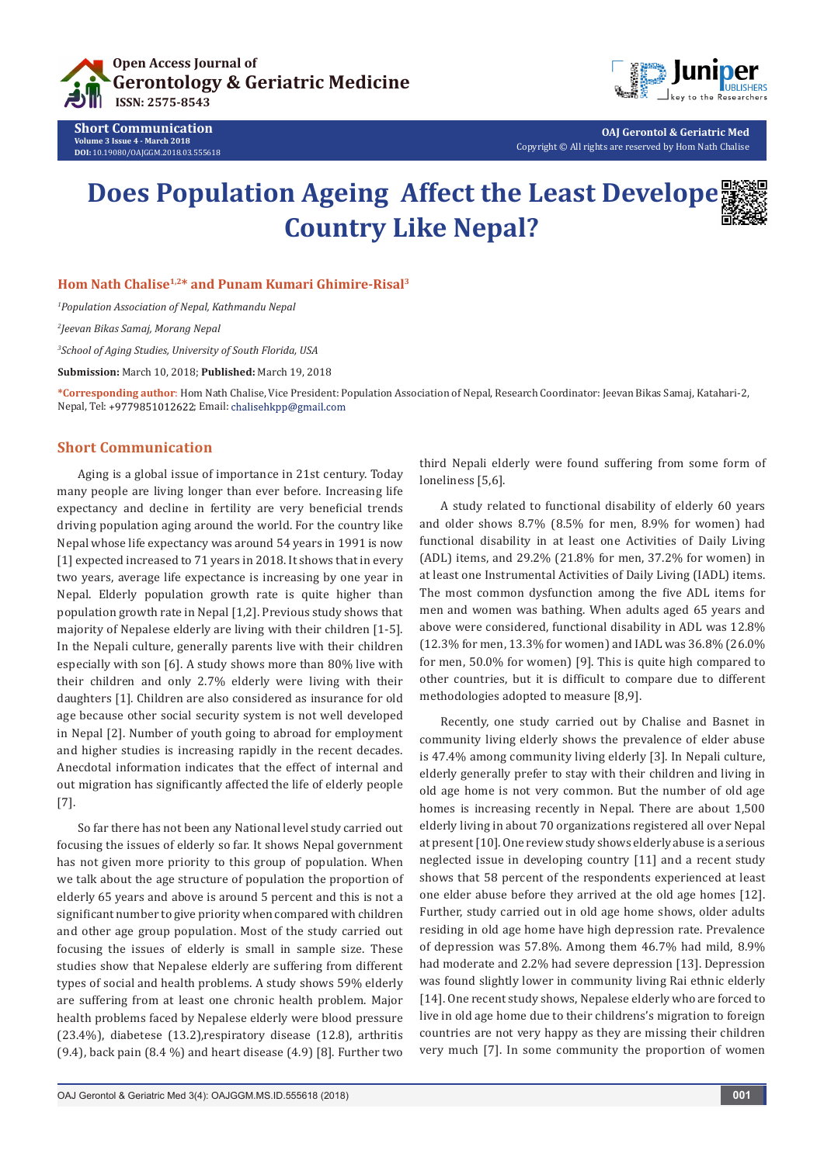

**Short Communication Volume 3 Issue 4 - March 2018 DOI:** [10.19080/OAJGGM.2018.03.555618](http://dx.doi.org/10.19080/OAJGGM.2018.03.555618)



**OAJ Gerontol & Geriatric Med** Copyright © All rights are reserved by Hom Nath Chalise

## **Does Population Ageing Affect the Least Develope Country Like Nepal?**



**Hom Nath Chalise1,2\* and Punam Kumari Ghimire-Risal3** 

*1 Population Association of Nepal, Kathmandu Nepal*

*2 Jeevan Bikas Samaj, Morang Nepal*

*3 School of Aging Studies, University of South Florida, USA* 

**Submission:** March 10, 2018; **Published:** March 19, 2018

**\*Corresponding author**: Hom Nath Chalise, Vice President: Population Association of Nepal, Research Coordinator: Jeevan Bikas Samaj, Katahari-2, Nepal, Tel: +9779851012622; Email: chalisehkpp@gmail.com

## **Short Communication**

Aging is a global issue of importance in 21st century. Today many people are living longer than ever before. Increasing life expectancy and decline in fertility are very beneficial trends driving population aging around the world. For the country like Nepal whose life expectancy was around 54 years in 1991 is now [1] expected increased to 71 years in 2018. It shows that in every two years, average life expectance is increasing by one year in Nepal. Elderly population growth rate is quite higher than population growth rate in Nepal [1,2]. Previous study shows that majority of Nepalese elderly are living with their children [1-5]. In the Nepali culture, generally parents live with their children especially with son [6]. A study shows more than 80% live with their children and only 2.7% elderly were living with their daughters [1]. Children are also considered as insurance for old age because other social security system is not well developed in Nepal [2]. Number of youth going to abroad for employment and higher studies is increasing rapidly in the recent decades. Anecdotal information indicates that the effect of internal and out migration has significantly affected the life of elderly people [7].

So far there has not been any National level study carried out focusing the issues of elderly so far. It shows Nepal government has not given more priority to this group of population. When we talk about the age structure of population the proportion of elderly 65 years and above is around 5 percent and this is not a significant number to give priority when compared with children and other age group population. Most of the study carried out focusing the issues of elderly is small in sample size. These studies show that Nepalese elderly are suffering from different types of social and health problems. A study shows 59% elderly are suffering from at least one chronic health problem. Major health problems faced by Nepalese elderly were blood pressure (23.4%), diabetese (13.2),respiratory disease (12.8), arthritis (9.4), back pain  $(8.4 \%)$  and heart disease  $(4.9)$   $[8]$ . Further two

OAJ Gerontol & Geriatric Med 3(4): OAJGGM.MS.ID.555618 (2018) **001**

third Nepali elderly were found suffering from some form of loneliness [5,6].

A study related to functional disability of elderly 60 years and older shows 8.7% (8.5% for men, 8.9% for women) had functional disability in at least one Activities of Daily Living (ADL) items, and 29.2% (21.8% for men, 37.2% for women) in at least one Instrumental Activities of Daily Living (IADL) items. The most common dysfunction among the five ADL items for men and women was bathing. When adults aged 65 years and above were considered, functional disability in ADL was 12.8% (12.3% for men, 13.3% for women) and IADL was 36.8% (26.0% for men, 50.0% for women) [9]. This is quite high compared to other countries, but it is difficult to compare due to different methodologies adopted to measure [8,9].

Recently, one study carried out by Chalise and Basnet in community living elderly shows the prevalence of elder abuse is 47.4% among community living elderly [3]. In Nepali culture, elderly generally prefer to stay with their children and living in old age home is not very common. But the number of old age homes is increasing recently in Nepal. There are about 1,500 elderly living in about 70 organizations registered all over Nepal at present [10]. One review study shows elderly abuse is a serious neglected issue in developing country [11] and a recent study shows that 58 percent of the respondents experienced at least one elder abuse before they arrived at the old age homes [12]. Further, study carried out in old age home shows, older adults residing in old age home have high depression rate. Prevalence of depression was 57.8%. Among them 46.7% had mild, 8.9% had moderate and 2.2% had severe depression [13]. Depression was found slightly lower in community living Rai ethnic elderly [14]. One recent study shows, Nepalese elderly who are forced to live in old age home due to their childrens's migration to foreign countries are not very happy as they are missing their children very much [7]. In some community the proportion of women